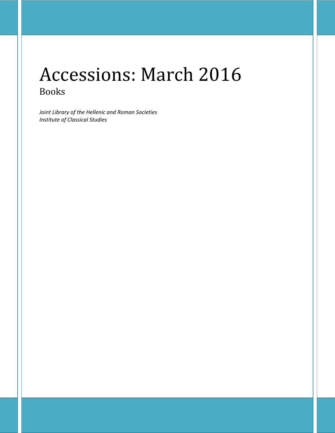# Accessions: March 2016 Books

*Joint Library of the Hellenic and Roman Societies Institute of Classical Studies*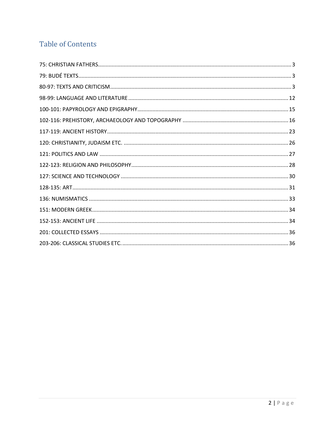# **Table of Contents**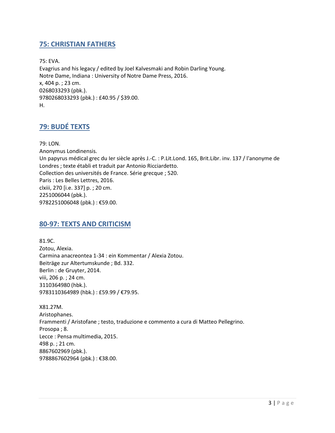### <span id="page-2-0"></span>**75: CHRISTIAN FATHERS**

75: EVA. Evagrius and his legacy / edited by Joel Kalvesmaki and Robin Darling Young. Notre Dame, Indiana : University of Notre Dame Press, 2016. x, 404 p. ; 23 cm. 0268033293 (pbk.). 9780268033293 (pbk.) : £40.95 / \$39.00. H.

## <span id="page-2-1"></span>**79: BUDÉ TEXTS**

79: LON. Anonymus Londinensis. Un papyrus médical grec du Ier siècle après J.-C. : P.Lit.Lond. 165, Brit.Libr. inv. 137 / l'anonyme de Londres ; texte établi et traduit par Antonio Ricciardetto. Collection des universités de France. Série grecque ; 520. Paris : Les Belles Lettres, 2016. clxiii, 270 [i.e. 337] p. ; 20 cm. 2251006044 (pbk.). 9782251006048 (pbk.) : €59.00.

#### <span id="page-2-2"></span>**80-97: TEXTS AND CRITICISM**

81.9C. Zotou, Alexia. Carmina anacreontea 1-34 : ein Kommentar / Alexia Zotou. Beiträge zur Altertumskunde ; Bd. 332. Berlin : de Gruyter, 2014. viii, 206 p. ; 24 cm. 3110364980 (hbk.). 9783110364989 (hbk.) : £59.99 / €79.95.

X81.27M. Aristophanes. Frammenti / Aristofane ; testo, traduzione e commento a cura di Matteo Pellegrino. Prosopa ; 8. Lecce : Pensa multimedia, 2015. 498 p. ; 21 cm. 8867602969 (pbk.). 9788867602964 (pbk.) : €38.00.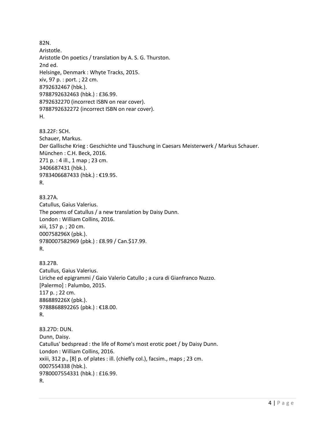82N. Aristotle. Aristotle On poetics / translation by A. S. G. Thurston. 2nd ed. Helsinge, Denmark : Whyte Tracks, 2015. xiv, 97 p. : port. ; 22 cm. 8792632467 (hbk.). 9788792632463 (hbk.) : £36.99. 8792632270 (incorrect ISBN on rear cover). 9788792632272 (incorrect ISBN on rear cover). H.

83.22F: SCH. Schauer, Markus. Der Gallische Krieg : Geschichte und Täuschung in Caesars Meisterwerk / Markus Schauer. München : C.H. Beck, 2016. 271 p. : 4 ill., 1 map ; 23 cm. 3406687431 (hbk.). 9783406687433 (hbk.) : €19.95. R.

83.27A. Catullus, Gaius Valerius. The poems of Catullus / a new translation by Daisy Dunn. London : William Collins, 2016. xiii, 157 p. ; 20 cm. 000758296X (pbk.). 9780007582969 (pbk.) : £8.99 / Can.\$17.99. R.

83.27B. Catullus, Gaius Valerius. Liriche ed epigrammi / Gaio Valerio Catullo ; a cura di Gianfranco Nuzzo. [Palermo] : Palumbo, 2015. 117 p. ; 22 cm. 886889226X (pbk.). 9788868892265 (pbk.) : €18.00. R.

83.27D: DUN. Dunn, Daisy. Catullus' bedspread : the life of Rome's most erotic poet / by Daisy Dunn. London : William Collins, 2016. xxiii, 312 p., [8] p. of plates : ill. (chiefly col.), facsim., maps ; 23 cm. 0007554338 (hbk.). 9780007554331 (hbk.) : £16.99. R.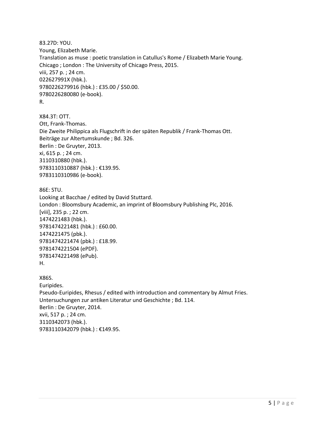83.27D: YOU. Young, Elizabeth Marie. Translation as muse : poetic translation in Catullus's Rome / Elizabeth Marie Young. Chicago ; London : The University of Chicago Press, 2015. viii, 257 p. ; 24 cm. 022627991X (hbk.). 9780226279916 (hbk.) : £35.00 / \$50.00. 9780226280080 (e-book). R.

X84.3T: OTT. Ott, Frank-Thomas. Die Zweite Philippica als Flugschrift in der späten Republik / Frank-Thomas Ott. Beiträge zur Altertumskunde ; Bd. 326. Berlin : De Gruyter, 2013. xi, 615 p. ; 24 cm. 3110310880 (hbk.). 9783110310887 (hbk.) : €139.95. 9783110310986 (e-book).

86E: STU. Looking at Bacchae / edited by David Stuttard. London : Bloomsbury Academic, an imprint of Bloomsbury Publishing Plc, 2016. [viii], 235 p. ; 22 cm. 1474221483 (hbk.). 9781474221481 (hbk.) : £60.00. 1474221475 (pbk.). 9781474221474 (pbk.) : £18.99. 9781474221504 (ePDF). 9781474221498 (ePub). H.

X86S. Euripides. Pseudo-Euripides, Rhesus / edited with introduction and commentary by Almut Fries. Untersuchungen zur antiken Literatur und Geschichte ; Bd. 114. Berlin : De Gruyter, 2014. xvii, 517 p. ; 24 cm. 3110342073 (hbk.). 9783110342079 (hbk.) : €149.95.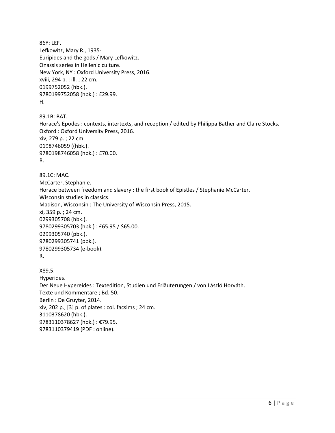86Y: LEF. Lefkowitz, Mary R., 1935- Euripides and the gods / Mary Lefkowitz. Onassis series in Hellenic culture. New York, NY : Oxford University Press, 2016. xviii, 294 p. : ill. ; 22 cm. 0199752052 (hbk.). 9780199752058 (hbk.) : £29.99. H.

89.1B: BAT. Horace's Epodes : contexts, intertexts, and reception / edited by Philippa Bather and Claire Stocks. Oxford : Oxford University Press, 2016. xiv, 279 p. ; 22 cm. 0198746059 ((hbk.). 9780198746058 (hbk.) : £70.00. R.

89.1C: MAC. McCarter, Stephanie. Horace between freedom and slavery : the first book of Epistles / Stephanie McCarter. Wisconsin studies in classics. Madison, Wisconsin : The University of Wisconsin Press, 2015. xi, 359 p. ; 24 cm. 0299305708 (hbk.). 9780299305703 (hbk.) : £65.95 / \$65.00. 0299305740 (pbk.). 9780299305741 (pbk.). 9780299305734 (e-book).

R.

X89.5. Hyperides. Der Neue Hypereides : Textedition, Studien und Erläuterungen / von László Horváth. Texte und Kommentare ; Bd. 50. Berlin : De Gruyter, 2014. xiv, 202 p., [3] p. of plates : col. facsims ; 24 cm. 3110378620 (hbk.). 9783110378627 (hbk.) : €79.95. 9783110379419 (PDF : online).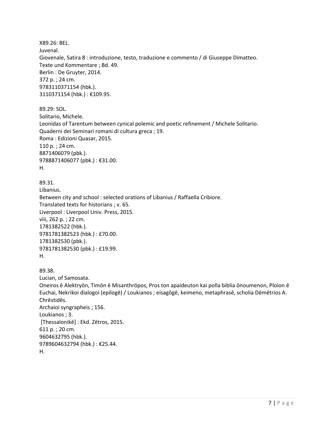X89.26: BEL. Juvenal. Giovenale, Satira 8 : introduzione, testo, traduzione e commento / di Giuseppe Dimatteo. Texte und Kommentare ; Bd. 49. Berlin : De Gruyter, 2014. 372 p. ; 24 cm. 9783110371154 (hbk.). 3110371154 (hbk.) : €109.95. 89.29: SOL. Solitario, Michele. Leonidas of Tarentum between cynical polemic and poetic refinement / Michele Solitario. Quaderni dei Seminari romani di cultura greca ; 19. Roma : Edizioni Quasar, 2015. 110 p. ; 24 cm. 8871406079 (pbk.). 9788871406077 (pbk.) : €31.00. H. 89.31. Libanius. Between city and school : selected orations of Libanius / Raffaella Cribiore. Translated texts for historians ; v. 65. Liverpool : Liverpool Univ. Press, 2015. viii, 262 p. ; 22 cm. 1781382522 (hbk.). 9781781382523 (hbk.) : £70.00. 1781382530 (pbk.). 9781781382530 (pbk.) : £19.99. H. 89.38. Lucian, of Samosata. Oneiros ē Alektryōn, Timōn ē Misanthrōpos, Pros ton apaideuton kai polla biblia ōnoumenon, Ploion ē Euchai, Nekrikoi dialogoi (epilogē) / Loukianos ; eisagōgē, keimeno, metaphrasē, scholia Dēmētrios A. Chrēstidēs. Archaioi syngrapheis ; 156. Loukianos ; 3. [Thessalonikē] : Ekd. Zētros, 2015. 611 p. ; 20 cm. 9604632795 (hbk.). 9789604632794 (hbk.) : €25.44. H.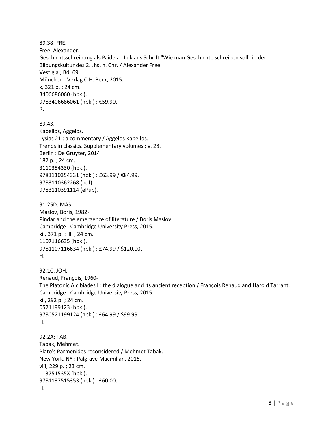89.38: FRE. Free, Alexander. Geschichtsschreibung als Paideia : Lukians Schrift "Wie man Geschichte schreiben soll" in der Bildungskultur des 2. Jhs. n. Chr. / Alexander Free. Vestigia ; Bd. 69. München : Verlag C.H. Beck, 2015. x, 321 p. ; 24 cm. 3406686060 (hbk.). 9783406686061 (hbk.) : €59.90. R.

89.43. Kapellos, Aggelos. Lysias 21 : a commentary / Aggelos Kapellos. Trends in classics. Supplementary volumes ; v. 28. Berlin : De Gruyter, 2014. 182 p. ; 24 cm. 3110354330 (hbk.). 9783110354331 (hbk.) : £63.99 / €84.99. 9783110362268 (pdf). 9783110391114 (ePub).

91.25D: MAS. Maslov, Boris, 1982- Pindar and the emergence of literature / Boris Maslov. Cambridge : Cambridge University Press, 2015. xii, 371 p. : ill. ; 24 cm. 1107116635 (hbk.). 9781107116634 (hbk.) : £74.99 / \$120.00. H.

92.1C: JOH. Renaud, François, 1960- The Platonic Alcibiades I : the dialogue and its ancient reception / François Renaud and Harold Tarrant. Cambridge : Cambridge University Press, 2015. xii, 292 p. ; 24 cm. 0521199123 (hbk.). 9780521199124 (hbk.) : £64.99 / \$99.99. H.

92.2A: TAB. Tabak, Mehmet. Plato's Parmenides reconsidered / Mehmet Tabak. New York, NY : Palgrave Macmillan, 2015. viii, 229 p. ; 23 cm. 113751535X (hbk.). 9781137515353 (hbk.) : £60.00. H.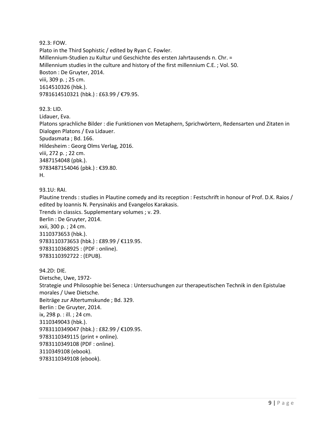92.3: FOW. Plato in the Third Sophistic / edited by Ryan C. Fowler. Millennium-Studien zu Kultur und Geschichte des ersten Jahrtausends n. Chr. = Millennium studies in the culture and history of the first millennium C.E. ; Vol. 50. Boston : De Gruyter, 2014. viii, 309 p. ; 25 cm. 1614510326 (hbk.). 9781614510321 (hbk.) : £63.99 / €79.95.

92.3: LID. Lidauer, Eva. Platons sprachliche Bilder : die Funktionen von Metaphern, Sprichwörtern, Redensarten und Zitaten in Dialogen Platons / Eva Lidauer. Spudasmata ; Bd. 166. Hildesheim : Georg Olms Verlag, 2016. viii, 272 p. ; 22 cm. 3487154048 (pbk.). 9783487154046 (pbk.) : €39.80. H.

93.1U: RAI.

Plautine trends : studies in Plautine comedy and its reception : Festschrift in honour of Prof. D.K. Raios / edited by Ioannis N. Perysinakis and Evangelos Karakasis. Trends in classics. Supplementary volumes ; v. 29. Berlin : De Gruyter, 2014. xxii, 300 p. ; 24 cm. 3110373653 (hbk.). 9783110373653 (hbk.) : £89.99 / €119.95. 9783110368925 : (PDF : online). 9783110392722 : (EPUB).

94.2D: DIE. Dietsche, Uwe, 1972- Strategie und Philosophie bei Seneca : Untersuchungen zur therapeutischen Technik in den Epistulae morales / Uwe Dietsche. Beiträge zur Altertumskunde ; Bd. 329. Berlin : De Gruyter, 2014. ix, 298 p. : ill. ; 24 cm. 3110349043 (hbk.). 9783110349047 (hbk.): £82.99 / €109.95. 9783110349115 (print + online). 9783110349108 (PDF : online). 3110349108 (ebook). 9783110349108 (ebook).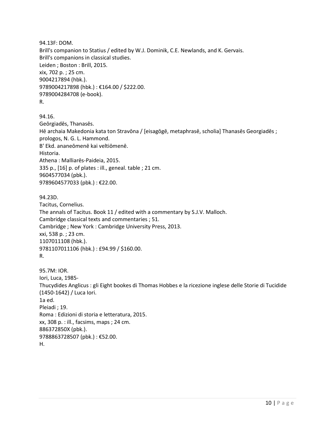94.13F: DOM. Brill's companion to Statius / edited by W.J. Dominik, C.E. Newlands, and K. Gervais. Brill's companions in classical studies. Leiden ; Boston : Brill, 2015. xix, 702 p. ; 25 cm. 9004217894 (hbk.). 9789004217898 (hbk.) : €164.00 / \$222.00. 9789004284708 (e-book). R.

94.16.

Geōrgiadēs, Thanasēs. Hē archaia Makedonia kata ton Stravōna / [eisagōgē, metaphrasē, scholia] Thanasēs Georgiadēs ; prologos, N. G. L. Hammond. B' Ekd. ananeōmenē kai veltiōmenē. Historia. Athena : Malliarēs-Paideia, 2015. 335 p., [16] p. of plates : ill., geneal. table ; 21 cm. 9604577034 (pbk.). 9789604577033 (pbk.) : €22.00.

```
94.23D.
```
Tacitus, Cornelius. The annals of Tacitus. Book 11 / edited with a commentary by S.J.V. Malloch. Cambridge classical texts and commentaries ; 51. Cambridge ; New York : Cambridge University Press, 2013. xxi, 538 p. ; 23 cm. 1107011108 (hbk.). 9781107011106 (hbk.) : £94.99 / \$160.00. R.

95.7M: IOR. Iori, Luca, 1985- Thucydides Anglicus : gli Eight bookes di Thomas Hobbes e la ricezione inglese delle Storie di Tucidide (1450-1642) / Luca Iori. 1a ed. Pleiadi ; 19. Roma : Edizioni di storia e letteratura, 2015. xx, 308 p. : ill., facsims, maps ; 24 cm. 886372850X (pbk.). 9788863728507 (pbk.) : €52.00. H.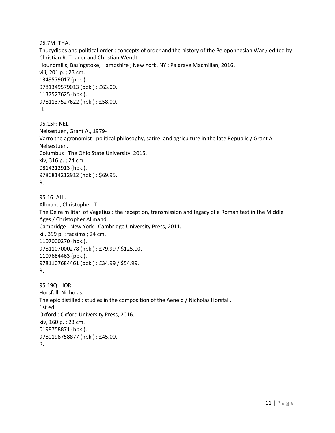95.7M: THA.

Thucydides and political order : concepts of order and the history of the Peloponnesian War / edited by Christian R. Thauer and Christian Wendt. Houndmills, Basingstoke, Hampshire ; New York, NY : Palgrave Macmillan, 2016. viii, 201 p. ; 23 cm. 1349579017 (pbk.). 9781349579013 (pbk.) : £63.00. 1137527625 (hbk.). 9781137527622 (hbk.) : £58.00. H.

95.15F: NEL. Nelsestuen, Grant A., 1979- Varro the agronomist : political philosophy, satire, and agriculture in the late Republic / Grant A. Nelsestuen. Columbus : The Ohio State University, 2015. xiv, 316 p. ; 24 cm. 0814212913 (hbk.). 9780814212912 (hbk.) : \$69.95. R.

95.16: ALL. Allmand, Christopher. T. The De re militari of Vegetius : the reception, transmission and legacy of a Roman text in the Middle Ages / Christopher Allmand. Cambridge ; New York : Cambridge University Press, 2011. xii, 399 p. : facsims ; 24 cm. 1107000270 (hbk.). 9781107000278 (hbk.) : £79.99 / \$125.00. 1107684463 (pbk.). 9781107684461 (pbk.) : £34.99 / \$54.99. R.

```
95.19Q: HOR. 
Horsfall, Nicholas.
The epic distilled : studies in the composition of the Aeneid / Nicholas Horsfall.
1st ed.
Oxford : Oxford University Press, 2016.
xiv, 160 p. ; 23 cm.
0198758871 (hbk.). 
9780198758877 (hbk.) : £45.00. 
R.
```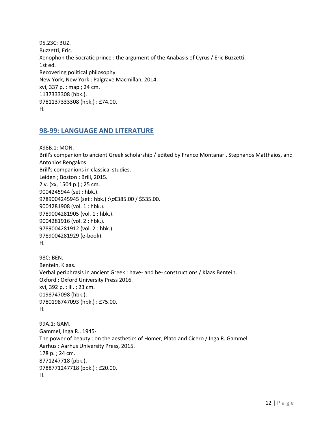95.23C: BUZ. Buzzetti, Eric. Xenophon the Socratic prince : the argument of the Anabasis of Cyrus / Eric Buzzetti. 1st ed. Recovering political philosophy. New York, New York : Palgrave Macmillan, 2014. xvi, 337 p. : map ; 24 cm. 1137333308 (hbk.). 9781137333308 (hbk.) : £74.00. H.

#### <span id="page-11-0"></span>**98-99: LANGUAGE AND LITERATURE**

X98B.1: MON. Brill's companion to ancient Greek scholarship / edited by Franco Montanari, Stephanos Matthaios, and Antonios Rengakos. Brill's companions in classical studies. Leiden ; Boston : Brill, 2015. 2 v. (xx, 1504 p.) ; 25 cm. 9004245944 (set : hbk.). 9789004245945 (set : hbk.) :\c€385.00 / \$535.00. 9004281908 (vol. 1 : hbk.). 9789004281905 (vol. 1 : hbk.). 9004281916 (vol. 2 : hbk.). 9789004281912 (vol. 2 : hbk.). 9789004281929 (e-book). H. 98C: BEN. Bentein, Klaas. Verbal periphrasis in ancient Greek : have- and be- constructions / Klaas Bentein. Oxford : Oxford University Press 2016. xvi, 392 p. : ill. ; 23 cm. 0198747098 (hbk.). 9780198747093 (hbk.) : £75.00. H. 99A.1: GAM. Gammel, Inga R., 1945- The power of beauty : on the aesthetics of Homer, Plato and Cicero / Inga R. Gammel. Aarhus : Aarhus University Press, 2015. 178 p. ; 24 cm. 8771247718 (pbk.). 9788771247718 (pbk.) : £20.00. H.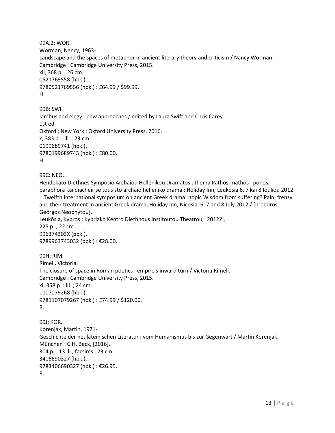99A.2: WOR. Worman, Nancy, 1963- Landscape and the spaces of metaphor in ancient literary theory and criticism / Nancy Worman. Cambridge : Cambridge University Press, 2015. xii, 368 p. ; 26 cm. 0521769558 (hbk.). 9780521769556 (hbk.) : £64.99 / \$99.99. H.

99B: SWI. Iambus and elegy : new approaches / edited by Laura Swift and Chris Carey. 1st ed. Oxford ; New York : Oxford University Press, 2016. x, 383 p. : ill. ; 23 cm. 0199689741 (hbk.). 9780199689743 (hbk.) : £80.00. H.

99C: NEO.

Hendekato Diethnes Symposio Archaiou Hellēnikou Dramatos : thema Pathos-mathos : ponos, paraphora kai diacheirisē tous sto archaio hellēniko drama : Holiday Inn, Leukōsia 6, 7 kai 8 Iouliou 2012 = Twelfth international symposium on ancient Greek drama : topic Wisdom from suffering? Pain, frenzy and their treatment in ancient Greek drama, Holiday Inn, Nicosia, 6, 7 and 8 July 2012 / [proedros Geōrgos Neophytou]. Leukōsia, Kypros : Kypriako Kentro Diethnous Institoutou Theatrou, [2012?]. 225 p. ; 22 cm.

996374303X (pbk.). 9789963743032 (pbk.) : €28.00.

99H: RIM. Rimell, Victoria. The closure of space in Roman poetics : empire's inward turn / Victoria Rimell. Cambridge : Cambridge University Press, 2015. xi, 358 p. : ill. ; 24 cm. 1107079268 (hbk.). 9781107079267 (hbk.) : £74.99 / \$120.00. R.

99J: KOR. Korenjak, Martin, 1971- Geschichte der neulateinischen Literatur : vom Humanismus bis zur Gegenwart / Martin Korenjak. München : C.H. Beck, [2016]. 304 p. : 13 ill., facsims ; 23 cm. 3406690327 (hbk.). 9783406690327 (hbk.) : €26.95. R.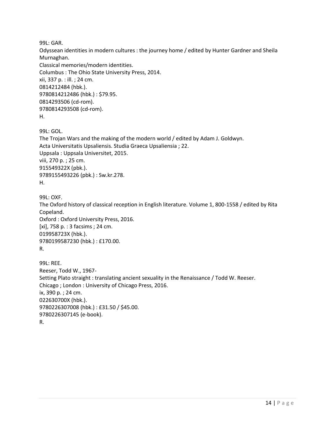99L: GAR.

Odyssean identities in modern cultures : the journey home / edited by Hunter Gardner and Sheila Murnaghan. Classical memories/modern identities. Columbus : The Ohio State University Press, 2014. xii, 337 p. : ill. ; 24 cm. 0814212484 (hbk.). 9780814212486 (hbk.) : \$79.95. 0814293506 (cd-rom). 9780814293508 (cd-rom). H.

99L: GOL. The Trojan Wars and the making of the modern world / edited by Adam J. Goldwyn. Acta Universitatis Upsaliensis. Studia Graeca Upsaliensia ; 22. Uppsala : Uppsala Universitet, 2015. viii, 270 p. ; 25 cm. 915549322X (pbk.). 9789155493226 (pbk.) : Sw.kr.278. H.

99L: OXF. The Oxford history of classical reception in English literature. Volume 1, 800-1558 / edited by Rita Copeland. Oxford : Oxford University Press, 2016. [xi], 758 p. : 3 facsims ; 24 cm. 019958723X (hbk.). 9780199587230 (hbk.) : £170.00. R.

```
99L: REE. 
Reeser, Todd W., 1967-
Setting Plato straight : translating ancient sexuality in the Renaissance / Todd W. Reeser.
Chicago ; London : University of Chicago Press, 2016.
ix, 390 p. ; 24 cm.
022630700X (hbk.). 
9780226307008 (hbk.) : £31.50 / $45.00. 
9780226307145 (e-book). 
R.
```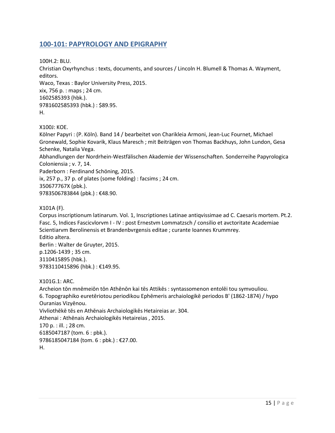## <span id="page-14-0"></span>**100-101: PAPYROLOGY AND EPIGRAPHY**

100H.2: BLU. Christian Oxyrhynchus : texts, documents, and sources / Lincoln H. Blumell & Thomas A. Wayment, editors. Waco, Texas : Baylor University Press, 2015. xix, 756 p. : maps ; 24 cm. 1602585393 (hbk.). 9781602585393 (hbk.) : \$89.95. H.

X100J: KOE.

Kölner Papyri : (P. Köln). Band 14 / bearbeitet von Charikleia Armoni, Jean-Luc Fournet, Michael Gronewald, Sophie Kovarik, Klaus Maresch ; mit Beiträgen von Thomas Backhuys, John Lundon, Gesa Schenke, Natalia Vega.

Abhandlungen der Nordrhein-Westfälischen Akademie der Wissenschaften. Sonderreihe Papyrologica Coloniensia ; v. 7, 14.

Paderborn : Ferdinand Schöning, 2015.

ix, 257 p., 37 p. of plates (some folding) : facsims ; 24 cm.

350677767X (pbk.).

9783506783844 (pbk.): €48.90.

#### X101A (F).

Corpus inscriptionum latinarum. Vol. 1, Inscriptiones Latinae antiqvissimae ad C. Caesaris mortem. Pt.2. Fasc. 5, Indices Fascicvlorvm I - IV : post Ernestvm Lommatzsch / consilio et avctoritate Academiae Scientiarvm Berolinensis et Brandenbvrgensis editae ; curante Ioannes Krummrey. Editio altera. Berlin : Walter de Gruyter, 2015. p.1206-1439 ; 35 cm. 3110415895 (hbk.). 9783110415896 (hbk.) : €149.95.

X101G.1: ARC.

Archeion tōn mnēmeiōn tōn Athēnōn kai tēs Attikēs : syntassomenon entolēi tou symvouliou. 6. Topographiko euretēriotou periodikou Ephēmeris archaiologikē periodos B' (1862-1874) / hypo Ouranias Vizyēnou. Vivliothēkē tēs en Athēnais Archaiologikēs Hetaireias ar. 304. Athenai : Athēnais Archaiologikēs Hetaireias , 2015. 170 p. : ill. ; 28 cm. 6185047187 (tom. 6 : pbk.). 9786185047184 (tom. 6 : pbk.) : €27.00. H.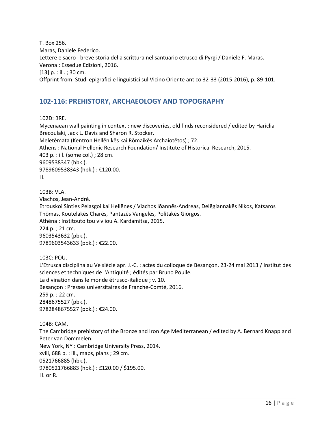T. Box 256. Maras, Daniele Federico. Lettere e sacro : breve storia della scrittura nel santuario etrusco di Pyrgi / Daniele F. Maras. Verona : Essedue Edizioni, 2016. [13] p. : ill. ; 30 cm. Offprint from: Studi epigrafici e linguistici sul Vicino Oriente antico 32-33 (2015-2016), p. 89-101.

## <span id="page-15-0"></span>**102-116: PREHISTORY, ARCHAEOLOGY AND TOPOGRAPHY**

102D: BRE.

Mycenaean wall painting in context : new discoveries, old finds reconsidered / edited by Hariclia Brecoulaki, Jack L. Davis and Sharon R. Stocker. Meletēmata (Kentron Hellēnikēs kai Rōmaikēs Archaiotētos) ; 72. Athens : National Hellenic Research Foundation/ Institute of Historical Research, 2015. 403 p. : ill. (some col.) ; 28 cm. 9609538347 (hbk.). 9789609538343 (hbk.) : €120.00. H.

103B: VLA. Vlachos, Jean-André. Etrouskoi Sinties Pelasgoi kai Hellēnes / Vlachos Iōannēs-Andreas, Delēgiannakēs Nikos, Katsaros Thōmas, Koutelakēs Charēs, Pantazēs Vangelēs, Politakēs Giōrgos. Athēna : Institouto tou vivliou A. Kardamitsa, 2015. 224 p. ; 21 cm. 9603543632 (pbk.). 9789603543633 (pbk.) : €22.00.

103C: POU.

L'Etrusca disciplina au Ve siècle apr. J.-C. : actes du colloque de Besançon, 23-24 mai 2013 / Institut des sciences et techniques de l'Antiquité ; édités par Bruno Poulle. La divination dans le monde étrusco-italique ; v. 10. Besançon : Presses universitaires de Franche-Comté, 2016. 259 p. ; 22 cm. 2848675527 (pbk.). 9782848675527 (pbk.) : €24.00.

104B: CAM. The Cambridge prehistory of the Bronze and Iron Age Mediterranean / edited by A. Bernard Knapp and Peter van Dommelen. New York, NY : Cambridge University Press, 2014. xviii, 688 p. : ill., maps, plans ; 29 cm. 0521766885 (hbk.). 9780521766883 (hbk.) : £120.00 / \$195.00. H. or R.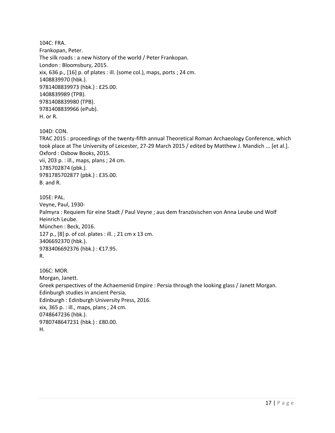104C: FRA. Frankopan, Peter. The silk roads : a new history of the world / Peter Frankopan. London : Bloomsbury, 2015. xix, 636 p., [16] p. of plates : ill. (some col.), maps, ports ; 24 cm. 1408839970 (hbk.). 9781408839973 (hbk.) : £25.00. 1408839989 (TPB). 9781408839980 (TPB). 9781408839966 (ePub). H. or R.

104D: CON.

TRAC 2015 : proceedings of the twenty-fifth annual Theoretical Roman Archaeology Conference, which took place at The University of Leicester, 27-29 March 2015 / edited by Matthew J. Mandich ... [et al.]. Oxford : Oxbow Books, 2015. vii, 203 p. : ill., maps, plans ; 24 cm. 1785702874 (pbk.). 9781785702877 (pbk.) : £35.00. B. and R.

105E: PAL. Veyne, Paul, 1930- Palmyra : Requiem für eine Stadt / Paul Veyne ; aus dem französischen von Anna Leube und Wolf Heinrich Leube. München : Beck, 2016. 127 p., [8] p. of col. plates : ill. ; 21 cm x 13 cm. 3406692370 (hbk.). 9783406692376 (hbk.) : €17.95. R.

106C: MOR. Morgan, Janett. Greek perspectives of the Achaemenid Empire : Persia through the looking glass / Janett Morgan. Edinburgh studies in ancient Persia. Edinburgh : Edinburgh University Press, 2016. xix, 365 p. : ill., maps, plans ; 24 cm. 0748647236 (hbk.). 9780748647231 (hbk.) : £80.00. H.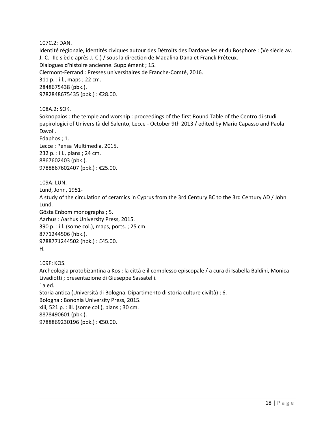107C.2: DAN.

Identité régionale, identités civiques autour des Détroits des Dardanelles et du Bosphore : (Ve siècle av. J.-C.- IIe siècle après J.-C.) / sous la direction de Madalina Dana et Franck Prêteux. Dialogues d'histoire ancienne. Supplément ; 15. Clermont-Ferrand : Presses universitaires de Franche-Comté, 2016. 311 p. : ill., maps ; 22 cm. 2848675438 (pbk.). 9782848675435 (pbk.) : €28.00.

108A.2: SOK.

Soknopaios : the temple and worship : proceedings of the first Round Table of the Centro di studi papirologici of Università del Salento, Lecce - October 9th 2013 / edited by Mario Capasso and Paola Davoli.

Edaphos ; 1. Lecce : Pensa Multimedia, 2015. 232 p. : ill., plans ; 24 cm. 8867602403 (pbk.). 9788867602407 (pbk.) : €25.00.

109A: LUN. Lund, John, 1951- A study of the circulation of ceramics in Cyprus from the 3rd Century BC to the 3rd Century AD / John Lund. Gösta Enbom monographs ; 5. Aarhus : Aarhus University Press, 2015. 390 p. : ill. (some col.), maps, ports. ; 25 cm. 8771244506 (hbk.). 9788771244502 (hbk.) : £45.00. H.

109F: KOS. Archeologia protobizantina a Kos : la città e il complesso episcopale / a cura di Isabella Baldini, Monica Livadiotti ; presentazione di Giuseppe Sassatelli. 1a ed. Storia antica (Università di Bologna. Dipartimento di storia culture civiltà) ; 6. Bologna : Bononia University Press, 2015. xiii, 521 p. : ill. (some col.), plans ; 30 cm.

8878490601 (pbk.).

9788869230196 (pbk.) : €50.00.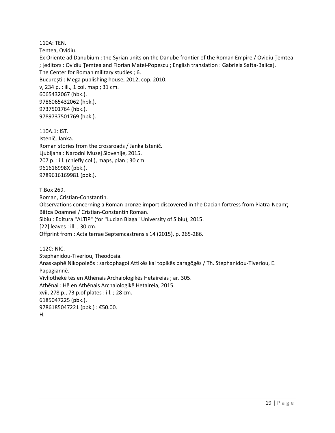110A: TEN.

Ţentea, Ovidiu.

Ex Oriente ad Danubium : the Syrian units on the Danube frontier of the Roman Empire / Ovidiu Ţemtea ; [editors : Ovidiu Ţemtea and Florian Matei-Popescu ; English translation : Gabriela Safta-Balica]. The Center for Roman military studies ; 6. Bucureşti : Mega publishing house, 2012, cop. 2010. v, 234 p. : ill., 1 col. map ; 31 cm. 6065432067 (hbk.). 9786065432062 (hbk.). 9737501764 (hbk.). 9789737501769 (hbk.).

110A.1: IST. Istenič, Janka. Roman stories from the crossroads / Janka Istenič. Ljubljana : Narodni Muzej Slovenije, 2015. 207 p. : ill. (chiefly col.), maps, plan ; 30 cm. 961616998X (pbk.). 9789616169981 (pbk.).

T.Box 269.

Roman, Cristian-Constantin. Observations concerning a Roman bronze import discovered in the Dacian fortress from Piatra-Neamţ - Bâtca Doamnei / Cristian-Constantin Roman. Sibiu : Editura "ALTIP" (for "Lucian Blaga" University of Sibiu), 2015. [22] leaves : ill. ; 30 cm. Offprint from : Acta terrae Septemcastrensis 14 (2015), p. 265-286.

112C: NIC. Stephanidou-Tiveriou, Theodosia. Anaskaphē Nikopoleōs : sarkophagoi Attikēs kai topikēs paragōgēs / Th. Stephanidou-Tiveriou, E. Papagiannē. Vivliothēkē tēs en Athēnais Archaiologikēs Hetaireias ; ar. 305. Athēnai : Hē en Athēnais Archaiologikē Hetaireia, 2015. xvii, 278 p., 73 p.of plates : ill. ; 28 cm. 6185047225 (pbk.). 9786185047221 (pbk.) : €50.00. H.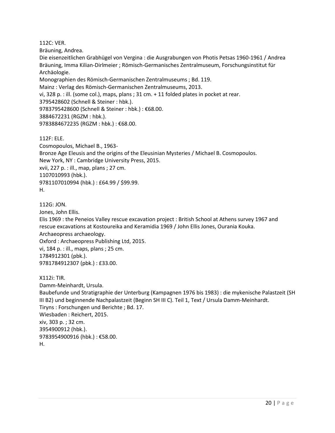112C: VER.

Bräuning, Andrea.

Die eisenzeitlichen Grabhügel von Vergina : die Ausgrabungen von Photis Petsas 1960-1961 / Andrea Bräuning, Imma Kilian-Dirlmeier ; Römisch-Germanisches Zentralmuseum, Forschungsinstitut für Archäologie.

Monographien des Römisch-Germanischen Zentralmuseums ; Bd. 119.

Mainz : Verlag des Römisch-Germanischen Zentralmuseums, 2013.

vi, 328 p. : ill. (some col.), maps, plans ; 31 cm. + 11 folded plates in pocket at rear.

3795428602 (Schnell & Steiner : hbk.).

9783795428600 (Schnell & Steiner : hbk.) : €68.00.

3884672231 (RGZM : hbk.).

9783884672235 (RGZM : hbk.) : €68.00.

112F: ELE.

Cosmopoulos, Michael B., 1963- Bronze Age Eleusis and the origins of the Eleusinian Mysteries / Michael B. Cosmopoulos. New York, NY : Cambridge University Press, 2015. xvii, 227 p. : ill., map, plans ; 27 cm. 1107010993 (hbk.). 9781107010994 (hbk.) : £64.99 / \$99.99. H.

112G: JON.

Jones, John Ellis. Elis 1969 : the Peneios Valley rescue excavation project : British School at Athens survey 1967 and rescue excavations at Kostoureika and Keramidia 1969 / John Ellis Jones, Ourania Kouka. Archaeopress archaeology. Oxford : Archaeopress Publishing Ltd, 2015. vi, 184 p. : ill., maps, plans ; 25 cm. 1784912301 (pbk.). 9781784912307 (pbk.) : £33.00.

X112i: TIR. Damm-Meinhardt, Ursula. Baubefunde und Stratigraphie der Unterburg (Kampagnen 1976 bis 1983) : die mykenische Palastzeit (SH III B2) und beginnende Nachpalastzeit (Beginn SH III C). Teil 1, Text / Ursula Damm-Meinhardt. Tiryns : Forschungen und Berichte ; Bd. 17. Wiesbaden : Reichert, 2015. xiv, 303 p. ; 32 cm. 3954900912 (hbk.). 9783954900916 (hbk.) : €58.00. H.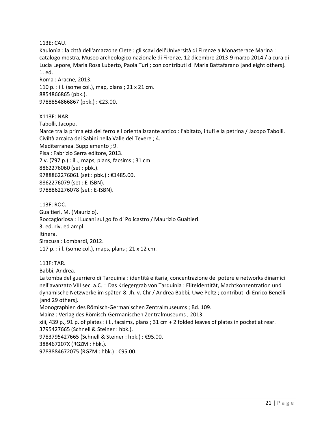113E: CAU.

Kaulonìa : la città dell'amazzone Clete : gli scavi dell'Università di Firenze a Monasterace Marina : catalogo mostra, Museo archeologico nazionale di Firenze, 12 dicembre 2013-9 marzo 2014 / a cura di Lucia Lepore, Maria Rosa Luberto, Paola Turi ; con contributi di Maria Battafarano [and eight others]. 1. ed.

Roma : Aracne, 2013. 110 p. : ill. (some col.), map, plans ; 21 x 21 cm. 8854866865 (pbk.). 9788854866867 (pbk.) : €23.00.

X113E: NAR. Tabolli, Jacopo. Narce tra la prima età del ferro e l'orientalizzante antico : l'abitato, i tufi e la petrina / Jacopo Tabolli. Civiltà arcaica dei Sabini nella Valle del Tevere ; 4. Mediterranea. Supplemento ; 9. Pisa : Fabrizio Serra editore, 2013. 2 v. (797 p.) : ill., maps, plans, facsims ; 31 cm. 8862276060 (set : pbk.). 9788862276061 (set : pbk.) : €1485.00. 8862276079 (set : E-ISBN). 9788862276078 (set : E-ISBN).

113F: ROC. Gualtieri, M. (Maurizio). Roccagloriosa : i Lucani sul golfo di Policastro / Maurizio Gualtieri. 3. ed. riv. ed ampl. Itinera. Siracusa : Lombardi, 2012. 117 p. : ill. (some col.), maps, plans ; 21 x 12 cm.

113F: TAR.

Babbi, Andrea.

La tomba del guerriero di Tarquinia : identità elitaria, concentrazione del potere e networks dinamici nell'avanzato VIII sec. a.C. = Das Kriegergrab von Tarquinia : Eliteidentität, Machtkonzentration und dynamische Netzwerke im späten 8. Jh. v. Chr / Andrea Babbi, Uwe Peltz ; contributi di Enrico Benelli [and 29 others].

Monographien des Römisch-Germanischen Zentralmuseums ; Bd. 109.

Mainz : Verlag des Römisch-Germanischen Zentralmuseums ; 2013.

xiii, 439 p., 91 p. of plates : ill., facsims, plans ; 31 cm + 2 folded leaves of plates in pocket at rear.

3795427665 (Schnell & Steiner : hbk.).

9783795427665 (Schnell & Steiner : hbk.) : €95.00.

388467207X (RGZM : hbk.).

9783884672075 (RGZM : hbk.) : €95.00.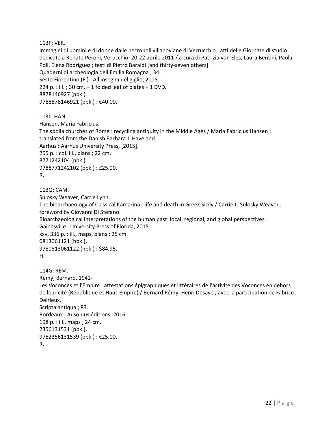#### 113F: VER.

Immagini di uomini e di donne dalle necropoli villanoviane di Verrucchio : atti delle Giornate di studio dedicate a Renato Peroni, Verucchio, 20-22 aprile 2011 / a cura di Patrizia von Eles, Laura Bentini, Paola Poli, Elena Rodriguez ; testi di Pietro Baraldi [and thirty-seven others]. Quaderni di archeologia dell'Emilia Romagna ; 34. Sesto Fiorentino (FI) : All'insegna del giglio, 2015. 224 p. : ill. ; 30 cm.  $+$  1 folded leaf of plates  $+$  1 DVD. 8878146927 (pbk.). 9788878146921 (pbk.) : €40.00.

113L: HAN.

Hansen, Maria Fabricius. The spolia churches of Rome : recycling antiquity in the Middle Ages / Maria Fabricius Hansen ; translated from the Danish Barbara J. Haveland. Aarhus : Aarhus University Press, [2015]. 255 p. : col. ill., plans ; 22 cm. 8771242104 (pbk.). 9788771242102 (pbk.) : £25.00. R.

113Q: CAM. Sulosky Weaver, Carrie Lynn. The bioarchaeology of Classical Kamarina : life and death in Greek Sicily / Carrie L. Sulosky Weaver ; foreword by Giovanni Di Stefano. Bioarchaeological interpretations of the human past: local, regional, and global perspectives. Gainesville : University Press of Florida, 2015. xxv, 336 p. : ill., maps, plans ; 25 cm. 0813061121 (hbk.). 9780813061122 (hbk.) : \$84.95. H.

114G: RÉM. Rémy, Bernard, 1942- Les Voconces et l'Empire : attestations épigraphiques et littéraires de l'activité des Voconces en dehors de leur cité (République et Haut-Empire) / Bernard Rémy, Henri Desaye ; avec la participation de Fabrice Delrieux. Scripta antiqua ; 83. Bordeaux : Ausonius éditions, 2016. 198 p. : ill., maps ; 24 cm. 2356131531 (pbk.). 9782356131539 (pbk.) : €25.00. R.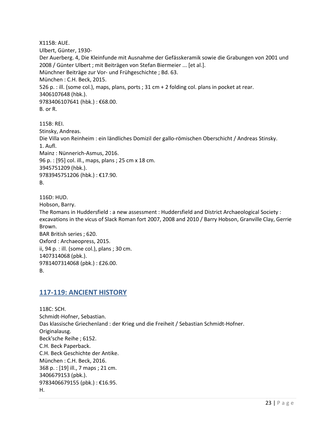X115B: AUE. Ulbert, Günter, 1930- Der Auerberg. 4, Die Kleinfunde mit Ausnahme der Gefässkeramik sowie die Grabungen von 2001 und 2008 / Günter Ulbert ; mit Beiträgen von Stefan Biermeier ... [et al.]. Münchner Beiträge zur Vor- und Frühgeschichte ; Bd. 63. München : C.H. Beck, 2015. 526 p. : ill. (some col.), maps, plans, ports ; 31 cm + 2 folding col. plans in pocket at rear. 3406107648 (hbk.). 9783406107641 (hbk.) : €68.00. B. or R.

115B: REI. Stinsky, Andreas. Die Villa von Reinheim : ein ländliches Domizil der gallo-römischen Oberschicht / Andreas Stinsky. 1. Aufl. Mainz : Nünnerich-Asmus, 2016. 96 p. : [95] col. ill., maps, plans ; 25 cm x 18 cm. 3945751209 (hbk.). 9783945751206 (hbk.) : €17.90. B.

116D: HUD. Hobson, Barry. The Romans in Huddersfield : a new assessment : Huddersfield and District Archaeological Society : excavations in the vicus of Slack Roman fort 2007, 2008 and 2010 / Barry Hobson, Granville Clay, Gerrie Brown. BAR British series ; 620. Oxford : Archaeopress, 2015. ii, 94 p. : ill. (some col.), plans ; 30 cm. 1407314068 (pbk.). 9781407314068 (pbk.) : £26.00. B.

#### <span id="page-22-0"></span>**117-119: ANCIENT HISTORY**

118C: SCH. Schmidt-Hofner, Sebastian. Das klassische Griechenland : der Krieg und die Freiheit / Sebastian Schmidt-Hofner. Originalausg. Beck'sche Reihe ; 6152. C.H. Beck Paperback. C.H. Beck Geschichte der Antike. München : C.H. Beck, 2016. 368 p. : [19] ill., 7 maps ; 21 cm. 3406679153 (pbk.). 9783406679155 (pbk.) : €16.95. H.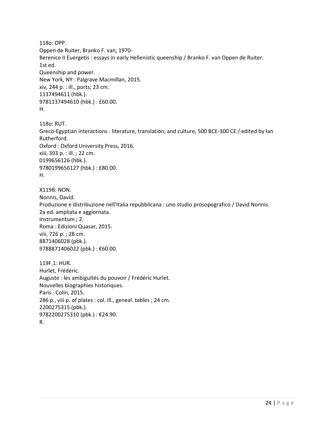118o: OPP. Oppen de Ruiter, Branko F. van, 1970- Berenice II Euergetis : essays in early Hellenistic queenship / Branko F. van Oppen de Ruiter. 1st ed. Queenship and power. New York, NY : Palgrave Macmillan, 2015. xiv, 244 p. : ill., ports; 23 cm. 1137494611 (hbk.). 9781137494610 (hbk.) : £60.00. H.

118o: RUT. Greco-Egyptian interactions : literature, translation, and culture, 500 BCE-300 CE / edited by Ian Rutherford. Oxford : Oxford University Press, 2016. xiii, 393 p. : ill. ; 22 cm. 0199656126 (hbk.). 9780199656127 (hbk.) : £80.00. H.

X119B: NON. Nonnis, David. Produzione e distribuzione nell'Italia repubblicana : uno studio prosopografico / David Nonnis. 2a ed. ampliata e aggiornata. Instrumentum ; 2. Roma : Edizioni Quasar, 2015. viii, 726 p. ; 28 cm. 8871406028 (pbk.). 9788871406022 (pbk.) : €60.00.

119F.1: HUR. Hurlet, Frédéric. Auguste : les ambiguïtés du pouvoir / Frédéric Hurlet. Nouvelles biographies historiques. Paris : Colin, 2015. 286 p., viii p. of plates : col. ill., geneal. tables ; 24 cm. 2200275315 (pbk.). 9782200275310 (pbk.) : €24.90. R.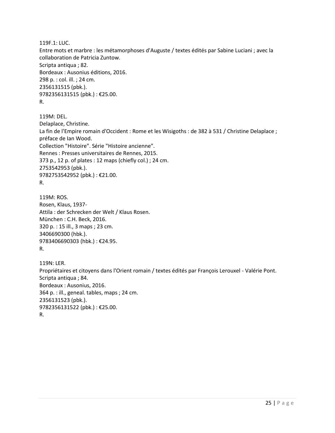119F.1: LUC. Entre mots et marbre : les métamorphoses d'Auguste / textes édités par Sabine Luciani ; avec la collaboration de Patricia Zuntow. Scripta antiqua ; 82. Bordeaux : Ausonius éditions, 2016. 298 p. : col. ill. ; 24 cm. 2356131515 (pbk.). 9782356131515 (pbk.) : €25.00. R.

119M: DEL. Delaplace, Christine. La fin de l'Empire romain d'Occident : Rome et les Wisigoths : de 382 à 531 / Christine Delaplace ; préface de Ian Wood. Collection "Histoire". Série "Histoire ancienne". Rennes : Presses universitaires de Rennes, 2015. 373 p., 12 p. of plates : 12 maps (chiefly col.) ; 24 cm. 2753542953 (pbk.). 9782753542952 (pbk.) : €21.00. R.

119M: ROS. Rosen, Klaus, 1937- Attila : der Schrecken der Welt / Klaus Rosen. München : C.H. Beck, 2016. 320 p. : 15 ill., 3 maps ; 23 cm. 3406690300 (hbk.). 9783406690303 (hbk.) : €24.95. R.

119N: LER. Propriétaires et citoyens dans l'Orient romain / textes édités par François Lerouxel - Valérie Pont. Scripta antiqua ; 84. Bordeaux : Ausonius, 2016. 364 p. : ill., geneal. tables, maps ; 24 cm. 2356131523 (pbk.). 9782356131522 (pbk.) : €25.00. R.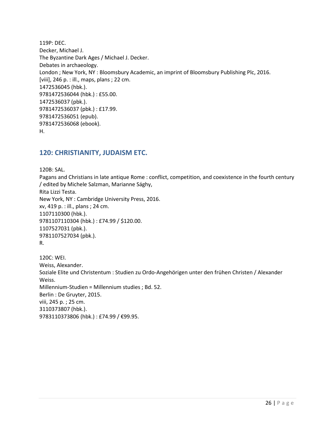119P: DEC. Decker, Michael J. The Byzantine Dark Ages / Michael J. Decker. Debates in archaeology. London ; New York, NY : Bloomsbury Academic, an imprint of Bloomsbury Publishing Plc, 2016. [viii], 246 p. : ill., maps, plans ; 22 cm. 1472536045 (hbk.). 9781472536044 (hbk.) : £55.00. 1472536037 (pbk.). 9781472536037 (pbk.) : £17.99. 9781472536051 (epub). 9781472536068 (ebook). H.

#### <span id="page-25-0"></span>**120: CHRISTIANITY, JUDAISM ETC.**

120B: SAL. Pagans and Christians in late antique Rome : conflict, competition, and coexistence in the fourth century / edited by Michele Salzman, Marianne Sághy, Rita Lizzi Testa. New York, NY : Cambridge University Press, 2016. xv, 419 p. : ill., plans ; 24 cm. 1107110300 (hbk.). 9781107110304 (hbk.) : £74.99 / \$120.00. 1107527031 (pbk.). 9781107527034 (pbk.). R. 120C: WEI. Weiss, Alexander. Soziale Elite und Christentum : Studien zu Ordo-Angehörigen unter den frühen Christen / Alexander Weiss. Millennium-Studien = Millennium studies ; Bd. 52. Berlin : De Gruyter, 2015. viii, 245 p. ; 25 cm. 3110373807 (hbk.). 9783110373806 (hbk.) : £74.99 / €99.95.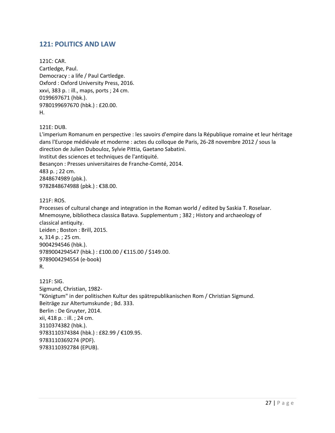#### <span id="page-26-0"></span>**121: POLITICS AND LAW**

121C: CAR. Cartledge, Paul. Democracy : a life / Paul Cartledge. Oxford : Oxford University Press, 2016. xxvi, 383 p. : ill., maps, ports ; 24 cm. 0199697671 (hbk.). 9780199697670 (hbk.) : £20.00. H.

121E: DUB.

L'imperium Romanum en perspective : les savoirs d'empire dans la République romaine et leur héritage dans l'Europe médiévale et moderne : actes du colloque de Paris, 26-28 novembre 2012 / sous la direction de Julien Dubouloz, Sylvie Pittia, Gaetano Sabatini. Institut des sciences et techniques de l'antiquité. Besançon : Presses universitaires de Franche-Comté, 2014. 483 p. ; 22 cm. 2848674989 (pbk.). 9782848674988 (pbk.): €38.00.

121F: ROS.

Processes of cultural change and integration in the Roman world / edited by Saskia T. Roselaar. Mnemosyne, bibliotheca classica Batava. Supplementum ; 382 ; History and archaeology of classical antiquity. Leiden ; Boston : Brill, 2015. x, 314 p. ; 25 cm. 9004294546 (hbk.). 9789004294547 (hbk.) : £100.00 / €115.00 / \$149.00. 9789004294554 (e-book) R.

121F: SIG. Sigmund, Christian, 1982- "Königtum" in der politischen Kultur des spätrepublikanischen Rom / Christian Sigmund. Beiträge zur Altertumskunde ; Bd. 333. Berlin : De Gruyter, 2014. xii, 418 p. : ill. ; 24 cm. 3110374382 (hbk.). 9783110374384 (hbk.) : £82.99 / €109.95. 9783110369274 (PDF). 9783110392784 (EPUB).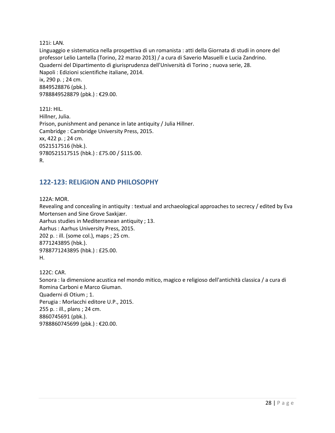121i: LAN.

Linguaggio e sistematica nella prospettiva di un romanista : atti della Giornata di studi in onore del professor Lelio Lantella (Torino, 22 marzo 2013) / a cura di Saverio Masuelli e Lucia Zandrino. Quaderni del Dipartimento di giurisprudenza dell'Università di Torino ; nuova serie, 28. Napoli : Edizioni scientifiche italiane, 2014. ix, 290 p. ; 24 cm. 8849528876 (pbk.). 9788849528879 (pbk.) : €29.00.

121J: HIL. Hillner, Julia. Prison, punishment and penance in late antiquity / Julia Hillner. Cambridge : Cambridge University Press, 2015. xx, 422 p. ; 24 cm. 0521517516 (hbk.). 9780521517515 (hbk.) : £75.00 / \$115.00. R.

#### <span id="page-27-0"></span>**122-123: RELIGION AND PHILOSOPHY**

122A: MOR.

Revealing and concealing in antiquity : textual and archaeological approaches to secrecy / edited by Eva Mortensen and Sine Grove Saxkjær. Aarhus studies in Mediterranean antiquity ; 13. Aarhus : Aarhus University Press, 2015. 202 p. : ill. (some col.), maps ; 25 cm. 8771243895 (hbk.). 9788771243895 (hbk.) : £25.00. H.

122C: CAR. Sonora : la dimensione acustica nel mondo mitico, magico e religioso dell'antichità classica / a cura di Romina Carboni e Marco Giuman. Quaderni di Otium ; 1. Perugia : Morlacchi editore U.P., 2015. 255 p. : ill., plans ; 24 cm. 8860745691 (pbk.). 9788860745699 (pbk.) : €20.00.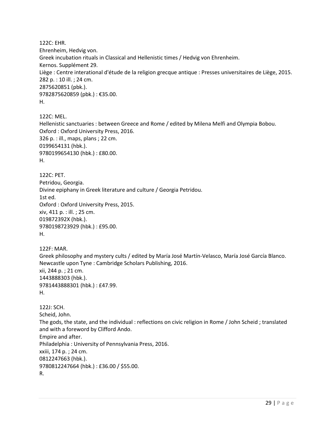122C: EHR. Ehrenheim, Hedvig von. Greek incubation rituals in Classical and Hellenistic times / Hedvig von Ehrenheim. Kernos. Supplément 29. Liège : Centre interational d'étude de la religion grecque antique : Presses universitaires de Liège, 2015. 282 p. : 10 ill. ; 24 cm. 2875620851 (pbk.). 9782875620859 (pbk.) : €35.00. H.

122C: MEL. Hellenistic sanctuaries : between Greece and Rome / edited by Milena Melfi and Olympia Bobou. Oxford : Oxford University Press, 2016. 326 p. : ill., maps, plans ; 22 cm. 0199654131 (hbk.). 9780199654130 (hbk.) : £80.00. H.

```
122C: PET. 
Petridou, Georgia.
Divine epiphany in Greek literature and culture / Georgia Petridou.
1st ed.
Oxford : Oxford University Press, 2015.
xiv, 411 p. : ill. ; 25 cm.
019872392X (hbk.). 
9780198723929 (hbk.) : £95.00. 
H.
```
122F: MAR. Greek philosophy and mystery cults / edited by María José Martín-Velasco, María José García Blanco. Newcastle upon Tyne : Cambridge Scholars Publishing, 2016. xii, 244 p. ; 21 cm. 1443888303 (hbk.). 9781443888301 (hbk.) : £47.99. H.

122J: SCH. Scheid, John. The gods, the state, and the individual : reflections on civic religion in Rome / John Scheid ; translated and with a foreword by Clifford Ando. Empire and after. Philadelphia : University of Pennsylvania Press, 2016. xxiii, 174 p. ; 24 cm. 0812247663 (hbk.). 9780812247664 (hbk.) : £36.00 / \$55.00. R.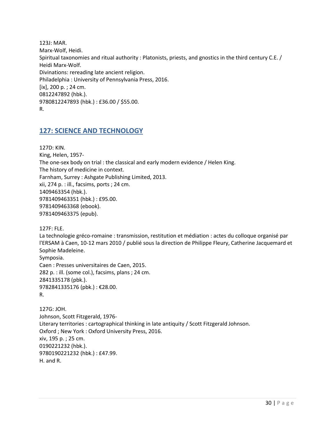123J: MAR. Marx-Wolf, Heidi. Spiritual taxonomies and ritual authority : Platonists, priests, and gnostics in the third century C.E. / Heidi Marx-Wolf. Divinations: rereading late ancient religion. Philadelphia : University of Pennsylvania Press, 2016. [ix], 200 p. ; 24 cm. 0812247892 (hbk.). 9780812247893 (hbk.) : £36.00 / \$55.00. R.

#### <span id="page-29-0"></span>**127: SCIENCE AND TECHNOLOGY**

127D: KIN. King, Helen, 1957- The one-sex body on trial : the classical and early modern evidence / Helen King. The history of medicine in context. Farnham, Surrey : Ashgate Publishing Limited, 2013. xii, 274 p. : ill., facsims, ports ; 24 cm. 1409463354 (hbk.). 9781409463351 (hbk.) : £95.00. 9781409463368 (ebook). 9781409463375 (epub).

127F: FLE.

La technologie gréco-romaine : transmission, restitution et médiation : actes du colloque organisé par l'ERSAM à Caen, 10-12 mars 2010 / publié sous la direction de Philippe Fleury, Catherine Jacquemard et Sophie Madeleine. Symposia. Caen : Presses universitaires de Caen, 2015. 282 p. : ill. (some col.), facsims, plans ; 24 cm. 2841335178 (pbk.). 9782841335176 (pbk.) : €28.00. R.

127G: JOH. Johnson, Scott Fitzgerald, 1976- Literary territories : cartographical thinking in late antiquity / Scott Fitzgerald Johnson. Oxford ; New York : Oxford University Press, 2016. xiv, 195 p. ; 25 cm. 0190221232 (hbk.). 9780190221232 (hbk.) : £47.99. H. and R.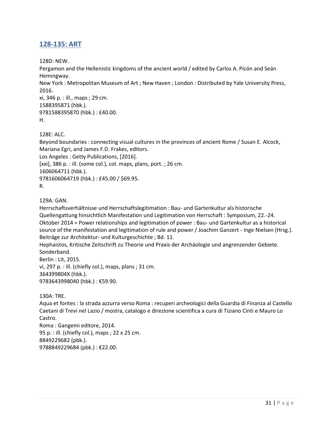## <span id="page-30-0"></span>**128-135: ART**

128D: NEW.

Pergamon and the Hellenistic kingdoms of the ancient world / edited by Carlos A. Picón and Seán Hemingway.

New York : Metropolitan Museum of Art ; New Haven ; London : Distributed by Yale University Press, 2016.

xi, 346 p. : ill., maps ; 29 cm. 1588395871 (hbk.). 9781588395870 (hbk.) : £40.00. H.

128E: ALC.

Beyond boundaries : connecting visual cultures in the provinces of ancient Rome / Susan E. Alcock, Mariana Egri, and James F.D. Frakes, editors. Los Angeles : Getty Publications, [2016]. [xxi], 386 p. : ill. (some col.), col. maps, plans, port. ; 26 cm. 1606064711 (hbk.). 9781606064719 (hbk.) : £45.00 / \$69.95. R.

129A: GAN.

Herrschaftsverhältnisse und Herrschaftslegitimation : Bau- und Gartenkultur als historische Quellengattung hinsichtlich Manifestation und Legitimation von Herrschaft : Symposium, 22.-24. Oktober 2014 = Power relationships and legitimation of power : Bau- und Gartenkultur as a historical source of the manifestation and legitimation of rule and power / Joachim Ganzert - Inge Nielsen (Hrsg.). Beiträge zur Architektur- und Kulturgeschichte ; Bd. 11.

Hephaistos, Kritische Zeitschrift zu Theorie und Praxis der Archäologie und angrenzender Gebiete. Sonderband. Berlin : Lit, 2015.

vi, 297 p. : ill. (chiefly col.), maps, plans ; 31 cm. 364399804X (hbk.). 9783643998040 (hbk.) : €59.90.

130A: TRE.

Aqua et fontes : la strada azzurra verso Roma : recuperi archeologici della Guardia di Finanza al Castello Caetani di Trevi nel Lazio / mostra, catalogo e direzione scientifica a cura di Tiziano Cinti e Mauro Lo Castro. Roma : Gangemi editore, 2014. 95 p. : ill. (chiefly col.), maps ; 22 x 25 cm.

8849229682 (pbk.).

9788849229684 (pbk.) : €22.00.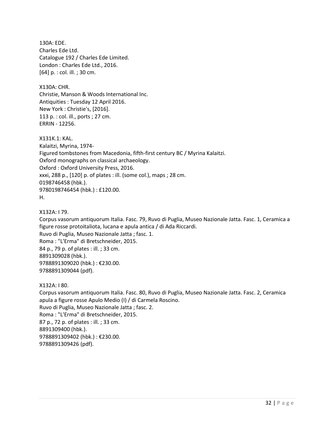130A: EDE. Charles Ede Ltd. Catalogue 192 / Charles Ede Limited. London : Charles Ede Ltd., 2016. [64] p. : col. ill. ; 30 cm.

X130A: CHR. Christie, Manson & Woods International Inc. Antiquities : Tuesday 12 April 2016. New York : Christie's, [2016]. 113 p. : col. ill., ports ; 27 cm. ERRIN - 12256.

X131K.1: KAL.

Kalaitzi, Myrina, 1974- Figured tombstones from Macedonia, fifth-first century BC / Myrina Kalaitzi. Oxford monographs on classical archaeology. Oxford : Oxford University Press, 2016. xxxi, 288 p., [120] p. of plates : ill. (some col.), maps ; 28 cm. 0198746458 (hbk.). 9780198746454 (hbk.) : £120.00. H.

X132A: I 79.

Corpus vasorum antiquorum Italia. Fasc. 79, Ruvo di Puglia, Museo Nazionale Jatta. Fasc. 1, Ceramica a figure rosse protoitaliota, lucana e apula antica / di Ada Riccardi. Ruvo di Puglia, Museo Nazionale Jatta ; fasc. 1. Roma : "L'Erma" di Bretschneider, 2015. 84 p., 79 p. of plates : ill. ; 33 cm. 8891309028 (hbk.). 9788891309020 (hbk.) : €230.00. 9788891309044 (pdf).

X132A: I 80.

Corpus vasorum antiquorum Italia. Fasc. 80, Ruvo di Puglia, Museo Nazionale Jatta. Fasc. 2, Ceramica apula a figure rosse Apulo Medio (I) / di Carmela Roscino. Ruvo di Puglia, Museo Nazionale Jatta ; fasc. 2. Roma : "L'Erma" di Bretschneider, 2015. 87 p., 72 p. of plates : ill. ; 33 cm. 8891309400 (hbk.). 9788891309402 (hbk.) : €230.00. 9788891309426 (pdf).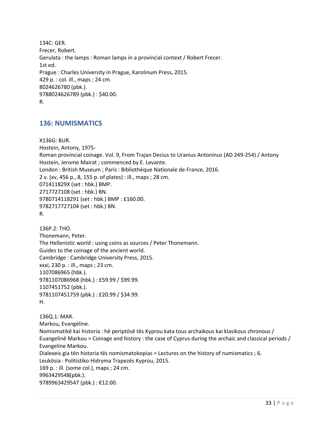134C: GER. Frecer, Robert. Gerulata : the lamps : Roman lamps in a provincial context / Robert Frecer. 1st ed. Prague : Charles University in Prague, Karolinum Press, 2015. 429 p. : col. ill., maps ; 24 cm. 8024626780 (pbk.). 9788024626789 (pbk.) : \$40.00. R.

#### <span id="page-32-0"></span>**136: NUMISMATICS**

X136G: BUR. Hostein, Antony, 1975- Roman provincial coinage. Vol. 9, From Trajan Decius to Uranius Antoninus (AD 249-254) / Antony Hostein, Jerome Mairat ; commenced by E. Levante. London : British Museum ; Paris : Bibliothèque Nationale de France, 2016. 2 v. (xv, 456 p., 8, 155 p. of plates) : ill., maps ; 28 cm. 071411829X (set : hbk.) BMP. 2717727108 (set : hbk.) BN. 9780714118291 (set : hbk.) BMP : £160.00. 9782717727104 (set : hbk.) BN. R.

136P.2: THO. Thonemann, Peter. The Hellenistic world : using coins as sources / Peter Thonemann. Guides to the coinage of the ancient world. Cambridge : Cambridge University Press, 2015. xxxi, 230 p. : ill., maps ; 23 cm. 1107086965 (hbk.). 9781107086968 (hbk.) : £59.99 / \$99.99. 1107451752 (pbk.). 9781107451759 (pbk.) : £20.99 / \$34.99. H.

136Q.1: MAR. Markou, Evangéline. Nomismatikē kai historia : hē periptōsē tēs Kyprou kata tous archaikous kai klasikous chronous / Euangelinē Markou = Coinage and history : the case of Cyprus during the archaic and classical periods / Evangeline Markou. Dialexeis gia tēn historia tēs nomismatokopias = Lectures on the history of numismatics ; 6. Leukōsia : Politistiko Hidryma Trapezēs Kyprou, 2015. 169 p. : ill. (some col.), maps ; 24 cm. 9963429548(pbk.). 9789963429547 (pbk.) : €12.00.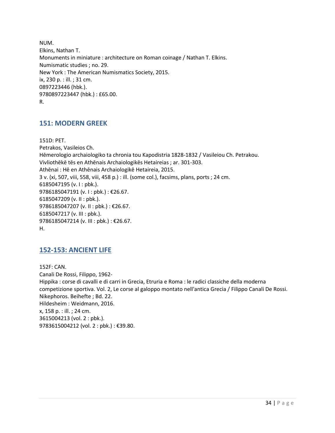NUM. Elkins, Nathan T. Monuments in miniature : architecture on Roman coinage / Nathan T. Elkins. Numismatic studies ; no. 29. New York : The American Numismatics Society, 2015. ix, 230 p. : ill. ; 31 cm. 0897223446 (hbk.). 9780897223447 (hbk.) : £65.00. R.

#### <span id="page-33-0"></span>**151: MODERN GREEK**

151D: PET. Petrakos, Vasileios Ch. Hēmerologio archaiologiko ta chronia tou Kapodistria 1828-1832 / Vasileiou Ch. Petrakou. Vivliothēkē tēs en Athēnais Archaiologikēs Hetaireias ; ar. 301-303. Athēnai : Hē en Athēnais Archaiologikē Hetaireia, 2015. 3 v. (xi, 507, viii, 558, viii, 458 p.) : ill. (some col.), facsims, plans, ports ; 24 cm. 6185047195 (v. I : pbk.). 9786185047191 (v. I : pbk.) : €26.67. 6185047209 (v. II : pbk.). 9786185047207 (v. II : pbk.) : €26.67. 6185047217 (v. III : pbk.). 9786185047214 (v. III : pbk.) : €26.67. H.

#### <span id="page-33-1"></span>**152-153: ANCIENT LIFE**

152F: CAN. Canali De Rossi, Filippo, 1962- Hippika : corse di cavalli e di carri in Grecia, Etruria e Roma : le radici classiche della moderna competizione sportiva. Vol. 2, Le corse al galoppo montato nell'antica Grecia / Filippo Canali De Rossi. Nikephoros. Beihefte ; Bd. 22. Hildesheim : Weidmann, 2016. x, 158 p. : ill. ; 24 cm. 3615004213 (vol. 2 : pbk.). 9783615004212 (vol. 2 : pbk.) : €39.80.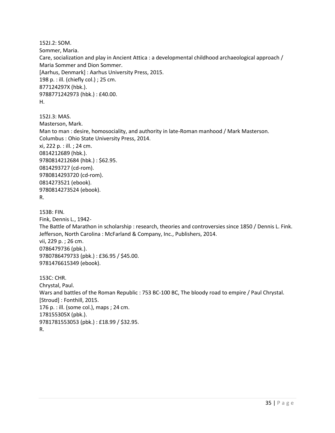152J.2: SOM. Sommer, Maria. Care, socialization and play in Ancient Attica : a developmental childhood archaeological approach / Maria Sommer and Dion Sommer. [Aarhus, Denmark] : Aarhus University Press, 2015. 198 p. : ill. (chiefly col.) ; 25 cm. 877124297X (hbk.). 9788771242973 (hbk.) : £40.00. H.

152J.3: MAS. Masterson, Mark. Man to man : desire, homosociality, and authority in late-Roman manhood / Mark Masterson. Columbus : Ohio State University Press, 2014. xi, 222 p. : ill. ; 24 cm. 0814212689 (hbk.). 9780814212684 (hbk.) : \$62.95. 0814293727 (cd-rom). 9780814293720 (cd-rom). 0814273521 (ebook). 9780814273524 (ebook). R.

153B: FIN. Fink, Dennis L., 1942- The Battle of Marathon in scholarship : research, theories and controversies since 1850 / Dennis L. Fink. Jefferson, North Carolina : McFarland & Company, Inc., Publishers, 2014. vii, 229 p. ; 26 cm. 0786479736 (pbk.). 9780786479733 (pbk.) : £36.95 / \$45.00. 9781476615349 (ebook).

153C: CHR. Chrystal, Paul. Wars and battles of the Roman Republic : 753 BC-100 BC, The bloody road to empire / Paul Chrystal. [Stroud] : Fonthill, 2015. 176 p. : ill. (some col.), maps ; 24 cm. 178155305X (pbk.). 9781781553053 (pbk.) : £18.99 / \$32.95. R.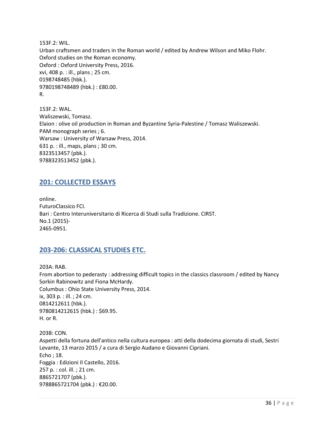153F.2: WIL. Urban craftsmen and traders in the Roman world / edited by Andrew Wilson and Miko Flohr. Oxford studies on the Roman economy. Oxford : Oxford University Press, 2016. xvi, 408 p. : ill., plans ; 25 cm. 0198748485 (hbk.). 9780198748489 (hbk.) : £80.00. R.

153F.2: WAL. Waliszewski, Tomasz. Elaion : olive oil production in Roman and Byzantine Syria-Palestine / Tomasz Waliszewski. PAM monograph series ; 6. Warsaw : University of Warsaw Press, 2014. 631 p. : ill., maps, plans ; 30 cm. 8323513457 (pbk.). 9788323513452 (pbk.).

#### <span id="page-35-0"></span>**201: COLLECTED ESSAYS**

online. FuturoClassico FCI. Bari : Centro Interuniversitario di Ricerca di Studi sulla Tradizione. CIRST. No.1 (2015)- 2465-0951.

#### <span id="page-35-1"></span>**203-206: CLASSICAL STUDIES ETC.**

203A: RAB. From abortion to pederasty : addressing difficult topics in the classics classroom / edited by Nancy Sorkin Rabinowitz and Fiona McHardy. Columbus : Ohio State University Press, 2014. ix, 303 p. : ill. ; 24 cm. 0814212611 (hbk.). 9780814212615 (hbk.) : \$69.95. H. or R.

203B: CON. Aspetti della fortuna dell'antico nella cultura europea : atti della dodecima giornata di studi, Sestri Levante, 13 marzo 2015 / a cura di Sergio Audano e Giovanni Cipriani. Echo ; 18. Foggia : Edizioni Il Castello, 2016. 257 p. : col. ill. ; 21 cm. 8865721707 (pbk.). 9788865721704 (pbk.) : €20.00.